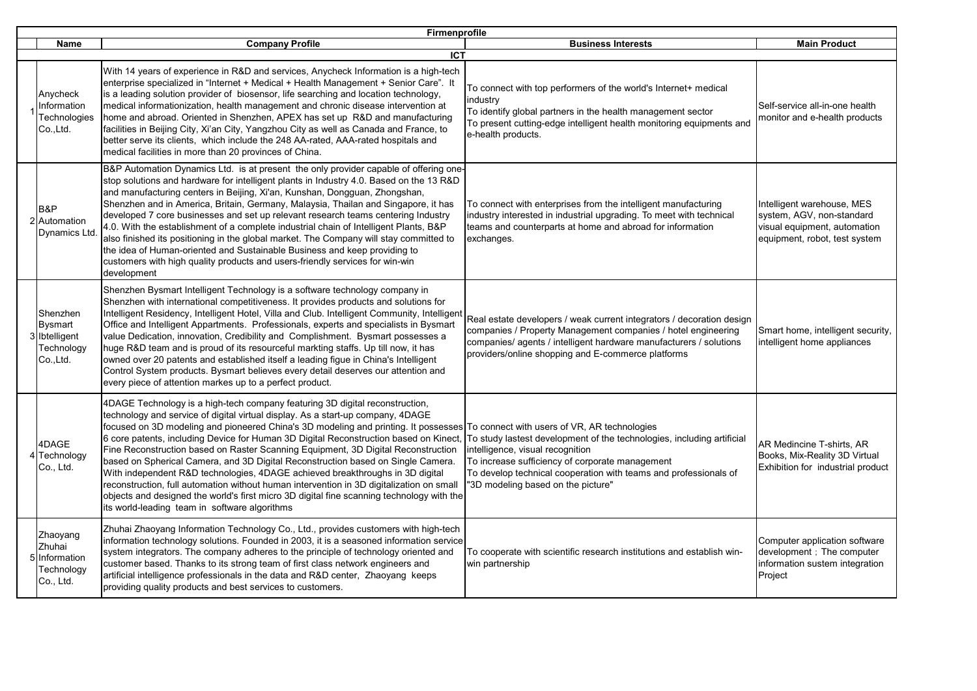|                                                                 | Firmenprofile                                                                                                                                                                                                                                                                                                                                                                                                                                                                                                                                                                                                                                                                                                                                                                                                                                                                                    |                                                                                                                                                                                                                                                                         |                                                                                                                          |  |  |
|-----------------------------------------------------------------|--------------------------------------------------------------------------------------------------------------------------------------------------------------------------------------------------------------------------------------------------------------------------------------------------------------------------------------------------------------------------------------------------------------------------------------------------------------------------------------------------------------------------------------------------------------------------------------------------------------------------------------------------------------------------------------------------------------------------------------------------------------------------------------------------------------------------------------------------------------------------------------------------|-------------------------------------------------------------------------------------------------------------------------------------------------------------------------------------------------------------------------------------------------------------------------|--------------------------------------------------------------------------------------------------------------------------|--|--|
| <b>Name</b>                                                     | <b>Company Profile</b>                                                                                                                                                                                                                                                                                                                                                                                                                                                                                                                                                                                                                                                                                                                                                                                                                                                                           | <b>Business Interests</b>                                                                                                                                                                                                                                               | <b>Main Product</b>                                                                                                      |  |  |
| Anycheck<br>nformation<br>Technologies<br>Co., Ltd.             | <b>ICT</b><br>With 14 years of experience in R&D and services, Anycheck Information is a high-tech<br>enterprise specialized in "Internet + Medical + Health Management + Senior Care". It<br>is a leading solution provider of biosensor, life searching and location technology,<br>medical informationization, health management and chronic disease intervention at<br>home and abroad. Oriented in Shenzhen, APEX has set up R&D and manufacturing<br>facilities in Beijing City, Xi'an City, Yangzhou City as well as Canada and France, to<br>better serve its clients, which include the 248 AA-rated, AAA-rated hospitals and                                                                                                                                                                                                                                                           | To connect with top performers of the world's Internet+ medical<br>industry<br>To identify global partners in the health management sector<br>To present cutting-edge intelligent health monitoring equipments and<br>e-health products.                                | Self-service all-in-one health<br>monitor and e-health products                                                          |  |  |
| B&P<br>2 Automation<br>Dynamics Ltd                             | medical facilities in more than 20 provinces of China.<br>B&P Automation Dynamics Ltd. is at present the only provider capable of offering one-<br>stop solutions and hardware for intelligent plants in Industry 4.0. Based on the 13 R&D<br>and manufacturing centers in Beijing, Xi'an, Kunshan, Dongguan, Zhongshan,<br>Shenzhen and in America, Britain, Germany, Malaysia, Thailan and Singapore, it has<br>developed 7 core businesses and set up relevant research teams centering Industry<br>4.0. With the establishment of a complete industrial chain of Intelligent Plants, B&P<br>also finished its positioning in the global market. The Company will stay committed to<br>the idea of Human-oriented and Sustainable Business and keep providing to<br>customers with high quality products and users-friendly services for win-win<br>development                               | To connect with enterprises from the intelligent manufacturing<br>industry interested in industrial upgrading. To meet with technical<br>teams and counterparts at home and abroad for information<br>exchanges.                                                        | Intelligent warehouse, MES<br>system, AGV, non-standard<br>visual equipment, automation<br>equipment, robot, test system |  |  |
| Shenzhen<br>Bysmart<br>3 Ibtelligent<br>Technology<br>Co., Ltd. | Shenzhen Bysmart Intelligent Technology is a software technology company in<br>Shenzhen with international competitiveness. It provides products and solutions for<br>Intelligent Residency, Intelligent Hotel, Villa and Club. Intelligent Community, Intelligent<br>Office and Intelligent Appartments. Professionals, experts and specialists in Bysmart<br>value Dedication, innovation, Credibility and Complishment. Bysmart possesses a<br>huge R&D team and is proud of its resourceful markting staffs. Up till now, it has<br>owned over 20 patents and established itself a leading figue in China's Intelligent<br>Control System products. Bysmart believes every detail deserves our attention and<br>every piece of attention markes up to a perfect product.                                                                                                                     | Real estate developers / weak current integrators / decoration design<br>companies / Property Management companies / hotel engineering<br>companies/ agents / intelligent hardware manufacturers / solutions<br>providers/online shopping and E-commerce platforms      | Smart home, intelligent security,<br>intelligent home appliances                                                         |  |  |
| 4DAGE<br>Technology<br>Co., Ltd.                                | 4DAGE Technology is a high-tech company featuring 3D digital reconstruction,<br>technology and service of digital virtual display. As a start-up company, 4DAGE<br>focused on 3D modeling and pioneered China's 3D modeling and printing. It possesses To connect with users of VR, AR technologies<br>6 core patents, including Device for Human 3D Digital Reconstruction based on Kinect,<br>Fine Reconstruction based on Raster Scanning Equipment, 3D Digital Reconstruction<br>based on Spherical Camera, and 3D Digital Reconstruction based on Single Camera.<br>With independent R&D technologies, 4DAGE achieved breakthroughs in 3D digital<br>reconstruction, full automation without human intervention in 3D digitalization on small<br>objects and designed the world's first micro 3D digital fine scanning technology with the<br>its world-leading team in software algorithms | To study lastest development of the technologies, including artificial<br>intelligence, visual recognition<br>To increase sufficiency of corporate management<br>To develop technical cooperation with teams and professionals of<br>"3D modeling based on the picture" | AR Medincine T-shirts, AR<br>Books, Mix-Reality 3D Virtual<br>Exhibition for industrial product                          |  |  |
| Zhaoyang<br>Zhuhai<br>5 Information<br>Technology<br>Co., Ltd.  | Zhuhai Zhaoyang Information Technology Co., Ltd., provides customers with high-tech<br>information technology solutions. Founded in 2003, it is a seasoned information service<br>system integrators. The company adheres to the principle of technology oriented and<br>customer based. Thanks to its strong team of first class network engineers and<br>artificial intelligence professionals in the data and R&D center, Zhaoyang keeps<br>providing quality products and best services to customers.                                                                                                                                                                                                                                                                                                                                                                                        | To cooperate with scientific research institutions and establish win-<br>win partnership                                                                                                                                                                                | Computer application software<br>development : The computer<br>information sustem integration<br>Project                 |  |  |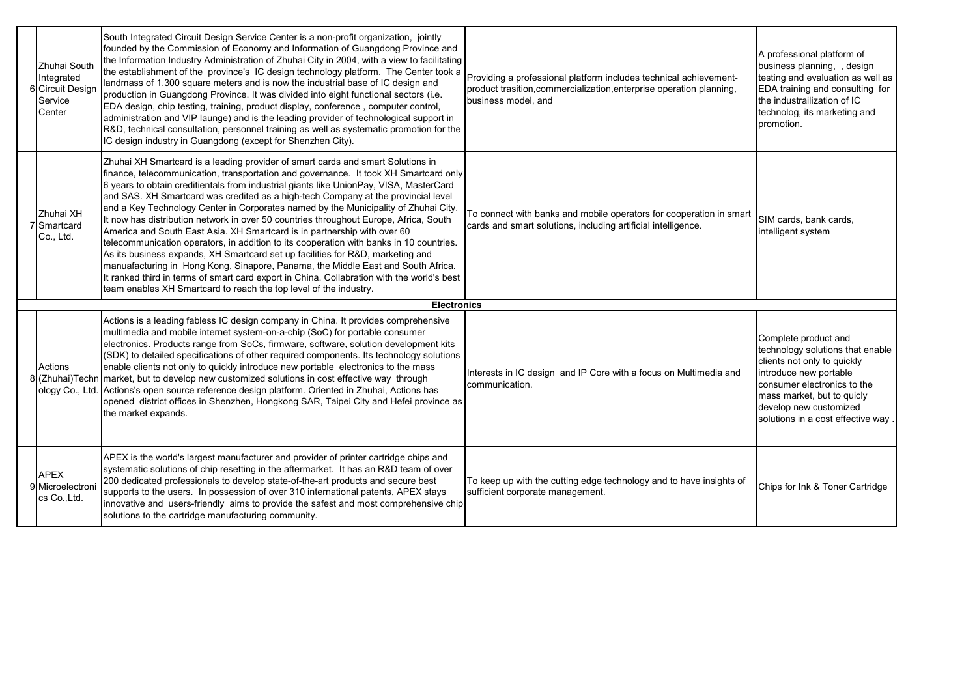| Zhuhai South<br>Integrated<br>6 Circuit Design<br>Service<br>Center | South Integrated Circuit Design Service Center is a non-profit organization, jointly<br>founded by the Commission of Economy and Information of Guangdong Province and<br>the Information Industry Administration of Zhuhai City in 2004, with a view to facilitating<br>the establishment of the province's IC design technology platform. The Center took a<br>landmass of 1,300 square meters and is now the industrial base of IC design and<br>production in Guangdong Province. It was divided into eight functional sectors (i.e.<br>EDA design, chip testing, training, product display, conference, computer control,<br>administration and VIP launge) and is the leading provider of technological support in<br>R&D, technical consultation, personnel training as well as systematic promotion for the<br>IC design industry in Guangdong (except for Shenzhen City).                                                                                                                                                                     | Providing a professional platform includes technical achievement-<br>product trasition, commercialization, enterprise operation planning,<br>business model, and | A professional platform of<br>business planning, , design<br>testing and evaluation as well as<br>EDA training and consulting for<br>the industrailization of IC<br>technolog, its marketing and<br>promotion.                                 |
|---------------------------------------------------------------------|--------------------------------------------------------------------------------------------------------------------------------------------------------------------------------------------------------------------------------------------------------------------------------------------------------------------------------------------------------------------------------------------------------------------------------------------------------------------------------------------------------------------------------------------------------------------------------------------------------------------------------------------------------------------------------------------------------------------------------------------------------------------------------------------------------------------------------------------------------------------------------------------------------------------------------------------------------------------------------------------------------------------------------------------------------|------------------------------------------------------------------------------------------------------------------------------------------------------------------|------------------------------------------------------------------------------------------------------------------------------------------------------------------------------------------------------------------------------------------------|
| Zhuhai XH<br>7 Smartcard<br>Co., Ltd.                               | Zhuhai XH Smartcard is a leading provider of smart cards and smart Solutions in<br>finance, telecommunication, transportation and governance. It took XH Smartcard only<br>6 years to obtain creditientals from industrial giants like UnionPay, VISA, MasterCard<br>and SAS. XH Smartcard was credited as a high-tech Company at the provincial level<br>and a Key Technology Center in Corporates named by the Municipality of Zhuhai City.<br>It now has distribution network in over 50 countries throughout Europe, Africa, South<br>America and South East Asia. XH Smartcard is in partnership with over 60<br>telecommunication operators, in addition to its cooperation with banks in 10 countries.<br>As its business expands, XH Smartcard set up facilities for R&D, marketing and<br>manuafacturing in Hong Kong, Sinapore, Panama, the Middle East and South Africa.<br>It ranked third in terms of smart card export in China. Collabration with the world's best<br>team enables XH Smartcard to reach the top level of the industry. | To connect with banks and mobile operators for cooperation in smart<br>cards and smart solutions, including artificial intelligence.                             | SIM cards, bank cards,<br>intelligent system                                                                                                                                                                                                   |
|                                                                     | <b>Electronics</b>                                                                                                                                                                                                                                                                                                                                                                                                                                                                                                                                                                                                                                                                                                                                                                                                                                                                                                                                                                                                                                     |                                                                                                                                                                  |                                                                                                                                                                                                                                                |
| Actions                                                             | Actions is a leading fabless IC design company in China. It provides comprehensive<br>multimedia and mobile internet system-on-a-chip (SoC) for portable consumer<br>electronics. Products range from SoCs, firmware, software, solution development kits<br>(SDK) to detailed specifications of other required components. Its technology solutions<br>enable clients not only to quickly introduce new portable electronics to the mass<br>8 (Zhuhai)Techn market, but to develop new customized solutions in cost effective way through<br>ology Co., Ltd. Actions's open source reference design platform. Oriented in Zhuhai, Actions has<br>opened district offices in Shenzhen, Hongkong SAR, Taipei City and Hefei province as<br>the market expands.                                                                                                                                                                                                                                                                                          | Interests in IC design and IP Core with a focus on Multimedia and<br>communication.                                                                              | Complete product and<br>technology solutions that enable<br>clients not only to quickly<br>introduce new portable<br>consumer electronics to the<br>mass market, but to quicly<br>develop new customized<br>solutions in a cost effective way. |
| <b>APEX</b><br>9 Microelectron<br>cs Co., Ltd.                      | APEX is the world's largest manufacturer and provider of printer cartridge chips and<br>systematic solutions of chip resetting in the aftermarket. It has an R&D team of over<br>200 dedicated professionals to develop state-of-the-art products and secure best<br>supports to the users. In possession of over 310 international patents, APEX stays<br>innovative and users-friendly aims to provide the safest and most comprehensive chip<br>solutions to the cartridge manufacturing community.                                                                                                                                                                                                                                                                                                                                                                                                                                                                                                                                                 | To keep up with the cutting edge technology and to have insights of<br>sufficient corporate management.                                                          | Chips for Ink & Toner Cartridge                                                                                                                                                                                                                |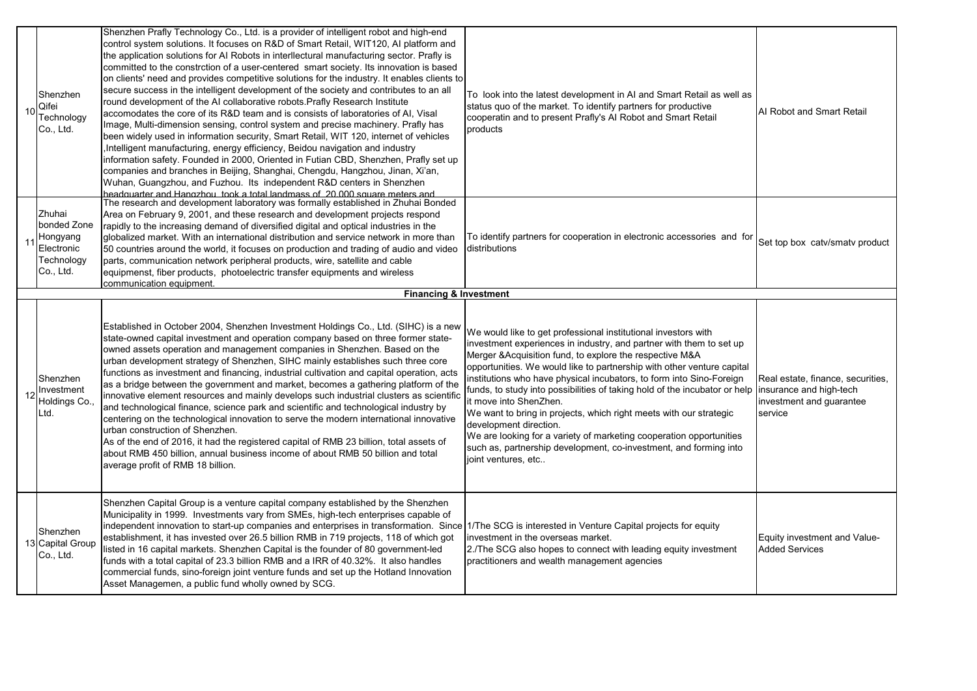| 10 | Shenzhen<br>Qifei<br>Technology<br>Co., Ltd.                               | Shenzhen Prafly Technology Co., Ltd. is a provider of intelligent robot and high-end<br>control system solutions. It focuses on R&D of Smart Retail, WIT120, AI platform and<br>the application solutions for AI Robots in interllectural manufacturing sector. Prafly is<br>committed to the constrction of a user-centered smart society. Its innovation is based<br>on clients' need and provides competitive solutions for the industry. It enables clients to<br>secure success in the intelligent development of the society and contributes to an all<br>round development of the AI collaborative robots. Prafly Research Institute<br>accomodates the core of its R&D team and is consists of laboratories of AI, Visal<br>Image, Multi-dimension sensing, control system and precise machinery. Prafly has<br>been widely used in information security, Smart Retail, WIT 120, internet of vehicles<br>, Intelligent manufacturing, energy efficiency, Beidou navigation and industry<br>information safety. Founded in 2000, Oriented in Futian CBD, Shenzhen, Prafly set up<br>companies and branches in Beijing, Shanghai, Chengdu, Hangzhou, Jinan, Xi'an,<br>Wuhan, Guangzhou, and Fuzhou. Its independent R&D centers in Shenzhen<br>headquarter and Hangzhou, took a total landmass of 20,000 square meters and | To look into the latest development in AI and Smart Retail as well as<br>status quo of the market. To identify partners for productive<br>cooperatin and to present Prafly's AI Robot and Smart Retail<br>products                                                                                                                                                                                                                                                                                                                                                                                                                                                                                                            | Al Robot and Smart Retail                                                                           |
|----|----------------------------------------------------------------------------|----------------------------------------------------------------------------------------------------------------------------------------------------------------------------------------------------------------------------------------------------------------------------------------------------------------------------------------------------------------------------------------------------------------------------------------------------------------------------------------------------------------------------------------------------------------------------------------------------------------------------------------------------------------------------------------------------------------------------------------------------------------------------------------------------------------------------------------------------------------------------------------------------------------------------------------------------------------------------------------------------------------------------------------------------------------------------------------------------------------------------------------------------------------------------------------------------------------------------------------------------------------------------------------------------------------------------------|-------------------------------------------------------------------------------------------------------------------------------------------------------------------------------------------------------------------------------------------------------------------------------------------------------------------------------------------------------------------------------------------------------------------------------------------------------------------------------------------------------------------------------------------------------------------------------------------------------------------------------------------------------------------------------------------------------------------------------|-----------------------------------------------------------------------------------------------------|
| 11 | Zhuhai<br>bonded Zone<br>Hongyang<br>Electronic<br>Technology<br>Co., Ltd. | The research and development laboratory was formally established in Zhuhai Bonded<br>Area on February 9, 2001, and these research and development projects respond<br>rapidly to the increasing demand of diversified digital and optical industries in the<br>globalized market. With an international distribution and service network in more than<br>50 countries around the world, it focuses on production and trading of audio and video<br>parts, communication network peripheral products, wire, satellite and cable<br>equipmenst, fiber products, photoelectric transfer equipments and wireless<br>communication equipment.<br><b>Financing &amp; Investment</b>                                                                                                                                                                                                                                                                                                                                                                                                                                                                                                                                                                                                                                                    | To identify partners for cooperation in electronic accessories and for<br>distributions                                                                                                                                                                                                                                                                                                                                                                                                                                                                                                                                                                                                                                       | Set top box catv/smatv product                                                                      |
|    |                                                                            |                                                                                                                                                                                                                                                                                                                                                                                                                                                                                                                                                                                                                                                                                                                                                                                                                                                                                                                                                                                                                                                                                                                                                                                                                                                                                                                                  |                                                                                                                                                                                                                                                                                                                                                                                                                                                                                                                                                                                                                                                                                                                               |                                                                                                     |
|    | Shenzhen<br>Investment<br>Holdings Co.,<br>Ltd.                            | Established in October 2004, Shenzhen Investment Holdings Co., Ltd. (SIHC) is a new<br>state-owned capital investment and operation company based on three former state-<br>owned assets operation and management companies in Shenzhen. Based on the<br>urban development strategy of Shenzhen, SIHC mainly establishes such three core<br>functions as investment and financing, industrial cultivation and capital operation, acts<br>as a bridge between the government and market, becomes a gathering platform of the<br>innovative element resources and mainly develops such industrial clusters as scientific<br>and technological finance, science park and scientific and technological industry by<br>centering on the technological innovation to serve the modern international innovative<br>urban construction of Shenzhen.<br>As of the end of 2016, it had the registered capital of RMB 23 billion, total assets of<br>about RMB 450 billion, annual business income of about RMB 50 billion and total<br>average profit of RMB 18 billion.                                                                                                                                                                                                                                                                   | We would like to get professional institutional investors with<br>investment experiences in industry, and partner with them to set up<br>Merger &Acquisition fund, to explore the respective M&A<br>opportunities. We would like to partnership with other venture capital<br>institutions who have physical incubators, to form into Sino-Foreign<br>funds, to study into possibilities of taking hold of the incubator or help<br>it move into ShenZhen.<br>We want to bring in projects, which right meets with our strategic<br>development direction.<br>We are looking for a variety of marketing cooperation opportunities<br>such as, partnership development, co-investment, and forming into<br>joint ventures, etc | Real estate, finance, securities,<br>insurance and high-tech<br>investment and guarantee<br>service |
|    | Shenzhen<br>13 Capital Group<br>Co., Ltd.                                  | Shenzhen Capital Group is a venture capital company established by the Shenzhen<br>Municipality in 1999. Investments vary from SMEs, high-tech enterprises capable of<br>independent innovation to start-up companies and enterprises in transformation. Since 17The SCG is interested in Venture Capital projects for equity<br>establishment, it has invested over 26.5 billion RMB in 719 projects, 118 of which got<br>listed in 16 capital markets. Shenzhen Capital is the founder of 80 government-led<br>funds with a total capital of 23.3 billion RMB and a IRR of 40.32%. It also handles<br>commercial funds, sino-foreign joint venture funds and set up the Hotland Innovation<br>Asset Managemen, a public fund wholly owned by SCG.                                                                                                                                                                                                                                                                                                                                                                                                                                                                                                                                                                              | investment in the overseas market.<br>2./The SCG also hopes to connect with leading equity investment<br>practitioners and wealth management agencies                                                                                                                                                                                                                                                                                                                                                                                                                                                                                                                                                                         | Equity investment and Value-<br><b>Added Services</b>                                               |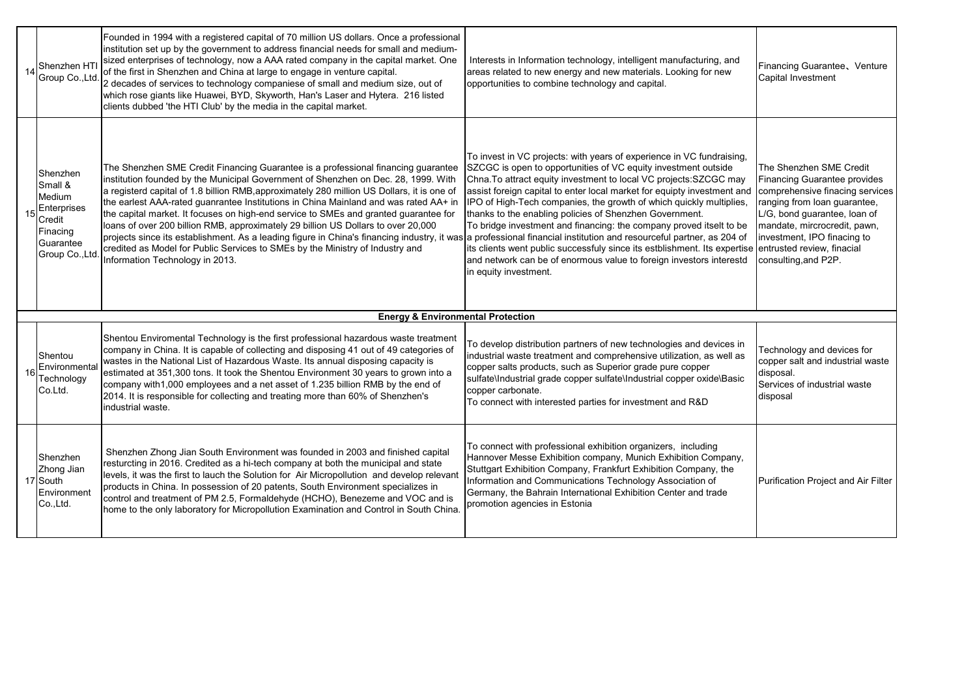| Shenzhen HTI<br>Group Co., Ltd.                                                                    | Founded in 1994 with a registered capital of 70 million US dollars. Once a professional<br>institution set up by the government to address financial needs for small and medium-<br>sized enterprises of technology, now a AAA rated company in the capital market. One<br>of the first in Shenzhen and China at large to engage in venture capital.<br>2 decades of services to technology companiese of small and medium size, out of<br>which rose giants like Huawei, BYD, Skyworth, Han's Laser and Hytera. 216 listed<br>clients dubbed 'the HTI Club' by the media in the capital market.                                                                                                                                                                                                                                      | Interests in Information technology, intelligent manufacturing, and<br>areas related to new energy and new materials. Looking for new<br>opportunities to combine technology and capital.                                                                                                                                                                                                                                                                                                                                                                                                                                                                                      | Financing Guarantee, Venture<br>Capital Investment                                                                                                                                                                                                                              |
|----------------------------------------------------------------------------------------------------|---------------------------------------------------------------------------------------------------------------------------------------------------------------------------------------------------------------------------------------------------------------------------------------------------------------------------------------------------------------------------------------------------------------------------------------------------------------------------------------------------------------------------------------------------------------------------------------------------------------------------------------------------------------------------------------------------------------------------------------------------------------------------------------------------------------------------------------|--------------------------------------------------------------------------------------------------------------------------------------------------------------------------------------------------------------------------------------------------------------------------------------------------------------------------------------------------------------------------------------------------------------------------------------------------------------------------------------------------------------------------------------------------------------------------------------------------------------------------------------------------------------------------------|---------------------------------------------------------------------------------------------------------------------------------------------------------------------------------------------------------------------------------------------------------------------------------|
| Shenzhen<br>Small &<br>Medium<br>Enterprises<br>Credit<br>Finacing<br>Guarantee<br>Group Co., Ltd. | The Shenzhen SME Credit Financing Guarantee is a professional financing guarantee<br>institution founded by the Municipal Government of Shenzhen on Dec. 28, 1999. With<br>a registerd capital of 1.8 billion RMB, approximately 280 million US Dollars, it is one of<br>the earlest AAA-rated guanrantee Institutions in China Mainland and was rated AA+ in<br>the capital market. It focuses on high-end service to SMEs and granted guarantee for<br>loans of over 200 billion RMB, approximately 29 billion US Dollars to over 20,000<br>projects since its establishment. As a leading figure in China's financing industry, it was a professional financial institution and resourceful partner, as 204 of<br>credited as Model for Public Services to SMEs by the Ministry of Industry and<br>Information Technology in 2013. | To invest in VC projects: with years of experience in VC fundraising,<br>SZCGC is open to opportunities of VC equity investment outside<br>Chna. To attract equity investment to local VC projects: SZCGC may<br>assist foreign capital to enter local market for equipty investment and<br>IPO of High-Tech companies, the growth of which quickly multiplies,<br>thanks to the enabling policies of Shenzhen Government.<br>To bridge investment and financing: the company proved itselt to be<br>its clients went public successfuly since its estblishment. Its expertise<br>and network can be of enormous value to foreign investors interestd<br>in equity investment. | The Shenzhen SME Credit<br>Financing Guarantee provides<br>comprehensive finacing services<br>ranging from loan guarantee,<br>L/G, bond quarantee, loan of<br>mandate, mircrocredit, pawn,<br>investment, IPO finacing to<br>entrusted review, finacial<br>consulting, and P2P. |
|                                                                                                    | <b>Energy &amp; Environmental Protection</b>                                                                                                                                                                                                                                                                                                                                                                                                                                                                                                                                                                                                                                                                                                                                                                                          |                                                                                                                                                                                                                                                                                                                                                                                                                                                                                                                                                                                                                                                                                |                                                                                                                                                                                                                                                                                 |
| Shentou<br>Environmental<br>Technology<br>Co.Ltd.                                                  | Shentou Enviromental Technology is the first professional hazardous waste treatment<br>company in China. It is capable of collecting and disposing 41 out of 49 categories of<br>wastes in the National List of Hazardous Waste. Its annual disposing capacity is<br>estimated at 351,300 tons. It took the Shentou Environment 30 years to grown into a<br>company with1,000 employees and a net asset of 1.235 billion RMB by the end of<br>2014. It is responsible for collecting and treating more than 60% of Shenzhen's<br>industrial waste.                                                                                                                                                                                                                                                                                    | To develop distribution partners of new technologies and devices in<br>industrial waste treatment and comprehensive utilization, as well as<br>copper salts products, such as Superior grade pure copper<br>sulfate\Industrial grade copper sulfate\Industrial copper oxide\Basic<br>copper carbonate.<br>To connect with interested parties for investment and R&D                                                                                                                                                                                                                                                                                                            | Technology and devices for<br>copper salt and industrial waste<br>disposal.<br>Services of industrial waste<br>disposal                                                                                                                                                         |
| Shenzhen<br>Zhong Jian<br>17 South<br>Environment<br>Co., Ltd.                                     | Shenzhen Zhong Jian South Environment was founded in 2003 and finished capital<br>resturcting in 2016. Credited as a hi-tech company at both the municipal and state<br>levels, it was the first to lauch the Solution for Air Micropollution and develop relevant<br>products in China. In possession of 20 patents, South Environment specializes in<br>control and treatment of PM 2.5, Formaldehyde (HCHO), Benezeme and VOC and is<br>home to the only laboratory for Micropollution Examination and Control in South China.                                                                                                                                                                                                                                                                                                     | To connect with professional exhibition organizers, including<br>Hannover Messe Exhibition company, Munich Exhibition Company,<br>Stuttgart Exhibition Company, Frankfurt Exhibition Company, the<br>Information and Communications Technology Association of<br>Germany, the Bahrain International Exhibition Center and trade<br>promotion agencies in Estonia                                                                                                                                                                                                                                                                                                               | Purification Project and Air Filter                                                                                                                                                                                                                                             |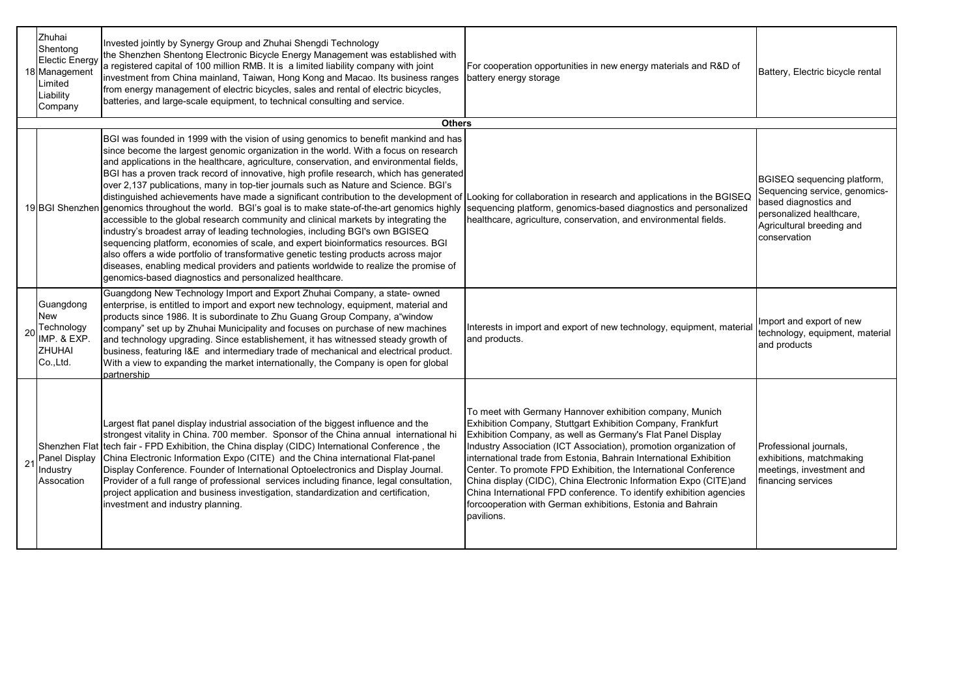| Zhuhai<br>Shentong<br><b>Electic Energy</b><br>18 Management<br>Limited<br>Liability<br>Company | Invested jointly by Synergy Group and Zhuhai Shengdi Technology<br>the Shenzhen Shentong Electronic Bicycle Energy Management was established with<br>a registered capital of 100 million RMB. It is a limited liability company with joint<br>investment from China mainland, Taiwan, Hong Kong and Macao. Its business ranges<br>from energy management of electric bicycles, sales and rental of electric bicycles,<br>batteries, and large-scale equipment, to technical consulting and service.                                                                                                                                                                                                                                                                                                                                                                                                                                                                                                                                                                                                                                                                                                                                        | For cooperation opportunities in new energy materials and R&D of<br>battery energy storage                                                                                                                                                                                                                                                                                                                                                                                                                                                                                                                                    | Battery, Electric bicycle rental                                                                                                                               |
|-------------------------------------------------------------------------------------------------|---------------------------------------------------------------------------------------------------------------------------------------------------------------------------------------------------------------------------------------------------------------------------------------------------------------------------------------------------------------------------------------------------------------------------------------------------------------------------------------------------------------------------------------------------------------------------------------------------------------------------------------------------------------------------------------------------------------------------------------------------------------------------------------------------------------------------------------------------------------------------------------------------------------------------------------------------------------------------------------------------------------------------------------------------------------------------------------------------------------------------------------------------------------------------------------------------------------------------------------------|-------------------------------------------------------------------------------------------------------------------------------------------------------------------------------------------------------------------------------------------------------------------------------------------------------------------------------------------------------------------------------------------------------------------------------------------------------------------------------------------------------------------------------------------------------------------------------------------------------------------------------|----------------------------------------------------------------------------------------------------------------------------------------------------------------|
|                                                                                                 | <b>Others</b>                                                                                                                                                                                                                                                                                                                                                                                                                                                                                                                                                                                                                                                                                                                                                                                                                                                                                                                                                                                                                                                                                                                                                                                                                               |                                                                                                                                                                                                                                                                                                                                                                                                                                                                                                                                                                                                                               |                                                                                                                                                                |
|                                                                                                 | BGI was founded in 1999 with the vision of using genomics to benefit mankind and has<br>since become the largest genomic organization in the world. With a focus on research<br>and applications in the healthcare, agriculture, conservation, and environmental fields,<br>BGI has a proven track record of innovative, high profile research, which has generated<br>over 2,137 publications, many in top-tier journals such as Nature and Science. BGI's<br>distinguished achievements have made a significant contribution to the development of Looking for collaboration in research and applications in the BGISEQ<br>19 BGI Shenzhen genomics throughout the world. BGI's goal is to make state-of-the-art genomics highly<br>accessible to the global research community and clinical markets by integrating the<br>industry's broadest array of leading technologies, including BGI's own BGISEQ<br>sequencing platform, economies of scale, and expert bioinformatics resources. BGI<br>also offers a wide portfolio of transformative genetic testing products across major<br>diseases, enabling medical providers and patients worldwide to realize the promise of<br>genomics-based diagnostics and personalized healthcare. | sequencing platform, genomics-based diagnostics and personalized<br>healthcare, agriculture, conservation, and environmental fields.                                                                                                                                                                                                                                                                                                                                                                                                                                                                                          | BGISEQ sequencing platform,<br>Sequencing service, genomics-<br>based diagnostics and<br>personalized healthcare,<br>Agricultural breeding and<br>conservation |
| Guangdong<br><b>New</b><br>Technology<br>IMP. & EXP.<br>ZHUHAI<br>Co., Ltd.                     | Guangdong New Technology Import and Export Zhuhai Company, a state- owned<br>enterprise, is entitled to import and export new technology, equipment, material and<br>products since 1986. It is subordinate to Zhu Guang Group Company, a window<br>company" set up by Zhuhai Municipality and focuses on purchase of new machines<br>and technology upgrading. Since establishement, it has witnessed steady growth of<br>business, featuring I&E and intermediary trade of mechanical and electrical product.<br>With a view to expanding the market internationally, the Company is open for global<br>partnership                                                                                                                                                                                                                                                                                                                                                                                                                                                                                                                                                                                                                       | Interests in import and export of new technology, equipment, material<br>and products.                                                                                                                                                                                                                                                                                                                                                                                                                                                                                                                                        | Import and export of new<br>technology, equipment, material<br>and products                                                                                    |
| 21 Panel Display<br>Industry<br>Assocation                                                      | Largest flat panel display industrial association of the biggest influence and the<br>strongest vitality in China. 700 member. Sponsor of the China annual international hi<br>Shenzhen Flat tech fair - FPD Exhibition, the China display (CIDC) International Conference, the<br>China Electronic Information Expo (CITE) and the China international Flat-panel<br>Display Conference. Founder of International Optoelectronics and Display Journal.<br>Provider of a full range of professional services including finance, legal consultation,<br>project application and business investigation, standardization and certification,<br>investment and industry planning.                                                                                                                                                                                                                                                                                                                                                                                                                                                                                                                                                              | To meet with Germany Hannover exhibition company, Munich<br>Exhibition Company, Stuttgart Exhibition Company, Frankfurt<br>Exhibition Company, as well as Germany's Flat Panel Display<br>Industry Association (ICT Association), promotion organization of<br>international trade from Estonia, Bahrain International Exhibition<br>Center. To promote FPD Exhibition, the International Conference<br>China display (CIDC), China Electronic Information Expo (CITE)and<br>China International FPD conference. To identify exhibition agencies<br>forcooperation with German exhibitions, Estonia and Bahrain<br>pavilions. | Professional journals,<br>exhibitions, matchmaking<br>meetings, investment and<br>financing services                                                           |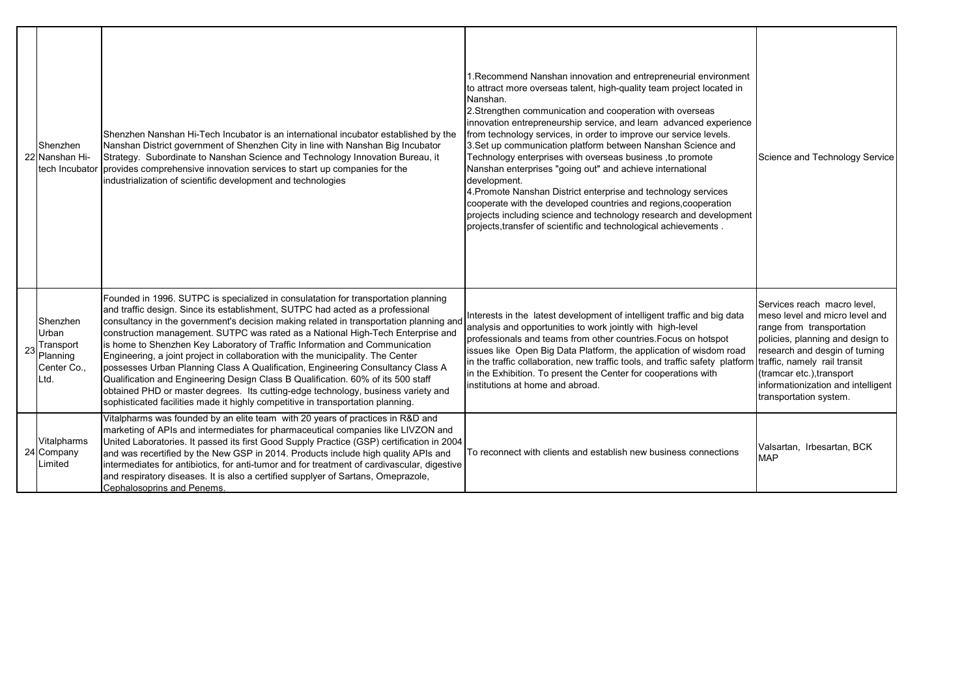|    | Shenzhen<br>22 Nanshan Hi-<br>tech Incubator                      | Shenzhen Nanshan Hi-Tech Incubator is an international incubator established by the<br>Nanshan District government of Shenzhen City in line with Nanshan Big Incubator<br>Strategy. Subordinate to Nanshan Science and Technology Innovation Bureau, it<br>provides comprehensive innovation services to start up companies for the<br>industrialization of scientific development and technologies                                                                                                                                                                                                                                                                                                                                                                                                                                                                | 1. Recommend Nanshan innovation and entrepreneurial environment<br>to attract more overseas talent, high-quality team project located in<br>Nanshan.<br>2. Strengthen communication and cooperation with overseas<br>innovation entrepreneurship service, and learn advanced experience<br>from technology services, in order to improve our service levels.<br>3.Set up communication platform between Nanshan Science and<br>Technology enterprises with overseas business, to promote<br>Nanshan enterprises "going out" and achieve international<br>development.<br>4. Promote Nanshan District enterprise and technology services<br>cooperate with the developed countries and regions, cooperation<br>projects including science and technology research and development<br>projects transfer of scientific and technological achievements. | Science and Technology Service                                                                                                                                                                                                                                                                |
|----|-------------------------------------------------------------------|--------------------------------------------------------------------------------------------------------------------------------------------------------------------------------------------------------------------------------------------------------------------------------------------------------------------------------------------------------------------------------------------------------------------------------------------------------------------------------------------------------------------------------------------------------------------------------------------------------------------------------------------------------------------------------------------------------------------------------------------------------------------------------------------------------------------------------------------------------------------|-----------------------------------------------------------------------------------------------------------------------------------------------------------------------------------------------------------------------------------------------------------------------------------------------------------------------------------------------------------------------------------------------------------------------------------------------------------------------------------------------------------------------------------------------------------------------------------------------------------------------------------------------------------------------------------------------------------------------------------------------------------------------------------------------------------------------------------------------------|-----------------------------------------------------------------------------------------------------------------------------------------------------------------------------------------------------------------------------------------------------------------------------------------------|
| 23 | Shenzhen<br>Urban<br>Transport<br>Planning<br>Center Co.,<br>Ltd. | Founded in 1996. SUTPC is specialized in consulatation for transportation planning<br>and traffic design. Since its establishment, SUTPC had acted as a professional<br>consultancy in the government's decision making related in transportation planning and<br>construction management. SUTPC was rated as a National High-Tech Enterprise and<br>is home to Shenzhen Key Laboratory of Traffic Information and Communication<br>Engineering, a joint project in collaboration with the municipality. The Center<br>possesses Urban Planning Class A Qualification, Engineering Consultancy Class A<br>Qualification and Engineering Design Class B Qualification. 60% of its 500 staff<br>obtained PHD or master degrees. Its cutting-edge technology, business variety and<br>sophisticated facilities made it highly competitive in transportation planning. | Interests in the latest development of intelligent traffic and big data<br>analysis and opportunities to work jointly with high-level<br>professionals and teams from other countries. Focus on hotspot<br>issues like Open Big Data Platform, the application of wisdom road<br>in the traffic collaboration, new traffic tools, and traffic safety platform<br>in the Exhibition. To present the Center for cooperations with<br>institutions at home and abroad.                                                                                                                                                                                                                                                                                                                                                                                 | Services reach macro level.<br>meso level and micro level and<br>range from transportation<br>policies, planning and design to<br>research and desgin of turning<br>traffic, namely rail transit<br>(tramcar etc.), transport<br>informationization and intelligent<br>transportation system. |
|    | Vitalpharms<br>24 Company<br>Limited                              | Vitalpharms was founded by an elite team with 20 years of practices in R&D and<br>marketing of APIs and intermediates for pharmaceutical companies like LIVZON and<br>United Laboratories. It passed its first Good Supply Practice (GSP) certification in 2004<br>and was recertified by the New GSP in 2014. Products include high quality APIs and<br>intermediates for antibiotics, for anti-tumor and for treatment of cardivascular, digestive<br>and respiratory diseases. It is also a certified supplyer of Sartans, Omeprazole,<br>Cephalosoprins and Penems.                                                                                                                                                                                                                                                                                            | To reconnect with clients and establish new business connections                                                                                                                                                                                                                                                                                                                                                                                                                                                                                                                                                                                                                                                                                                                                                                                    | Valsartan, Irbesartan, BCK<br><b>MAP</b>                                                                                                                                                                                                                                                      |